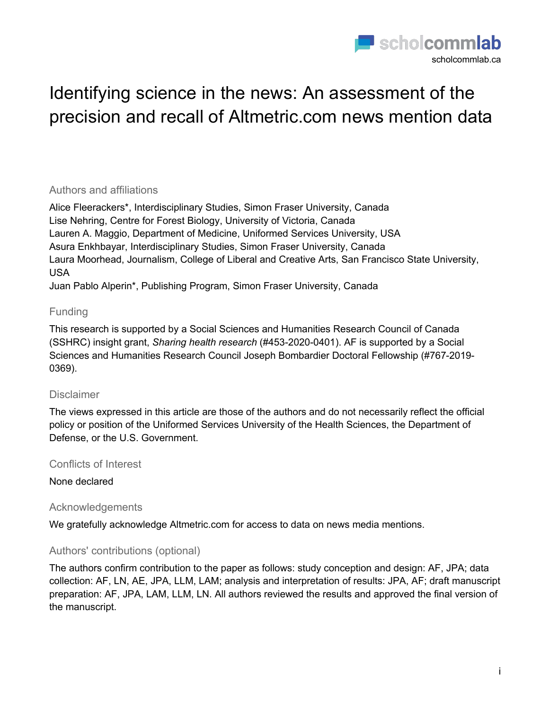

# Identifying science in the news: An assessment of the precision and recall of Altmetric.com news mention data

#### Authors and affiliations

Alice Fleerackers\*, Interdisciplinary Studies, Simon Fraser University, Canada Lise Nehring, Centre for Forest Biology, University of Victoria, Canada Lauren A. Maggio, Department of Medicine, Uniformed Services University, USA Asura Enkhbayar, Interdisciplinary Studies, Simon Fraser University, Canada Laura Moorhead, Journalism, College of Liberal and Creative Arts, San Francisco State University, USA

Juan Pablo Alperin\*, Publishing Program, Simon Fraser University, Canada

### Funding

This research is supported by a Social Sciences and Humanities Research Council of Canada (SSHRC) insight grant, *Sharing health research* (#453-2020-0401). AF is supported by a Social Sciences and Humanities Research Council Joseph Bombardier Doctoral Fellowship (#767-2019- 0369).

### Disclaimer

The views expressed in this article are those of the authors and do not necessarily reflect the official policy or position of the Uniformed Services University of the Health Sciences, the Department of Defense, or the U.S. Government.

Conflicts of Interest

None declared

### Acknowledgements

We gratefully acknowledge Altmetric.com for access to data on news media mentions.

### Authors' contributions (optional)

The authors confirm contribution to the paper as follows: study conception and design: AF, JPA; data collection: AF, LN, AE, JPA, LLM, LAM; analysis and interpretation of results: JPA, AF; draft manuscript preparation: AF, JPA, LAM, LLM, LN. All authors reviewed the results and approved the final version of the manuscript.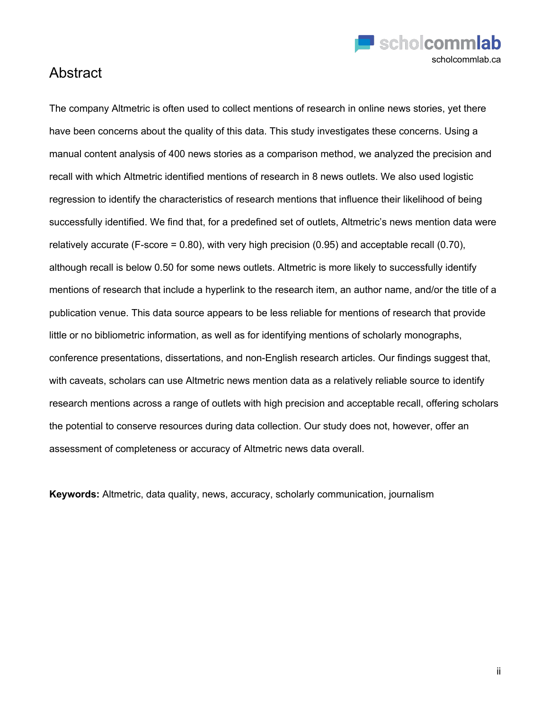

### Abstract

The company Altmetric is often used to collect mentions of research in online news stories, yet there have been concerns about the quality of this data. This study investigates these concerns. Using a manual content analysis of 400 news stories as a comparison method, we analyzed the precision and recall with which Altmetric identified mentions of research in 8 news outlets. We also used logistic regression to identify the characteristics of research mentions that influence their likelihood of being successfully identified. We find that, for a predefined set of outlets, Altmetric's news mention data were relatively accurate (F-score =  $0.80$ ), with very high precision (0.95) and acceptable recall (0.70), although recall is below 0.50 for some news outlets. Altmetric is more likely to successfully identify mentions of research that include a hyperlink to the research item, an author name, and/or the title of a publication venue. This data source appears to be less reliable for mentions of research that provide little or no bibliometric information, as well as for identifying mentions of scholarly monographs, conference presentations, dissertations, and non-English research articles. Our findings suggest that, with caveats, scholars can use Altmetric news mention data as a relatively reliable source to identify research mentions across a range of outlets with high precision and acceptable recall, offering scholars the potential to conserve resources during data collection. Our study does not, however, offer an assessment of completeness or accuracy of Altmetric news data overall.

**Keywords:** Altmetric, data quality, news, accuracy, scholarly communication, journalism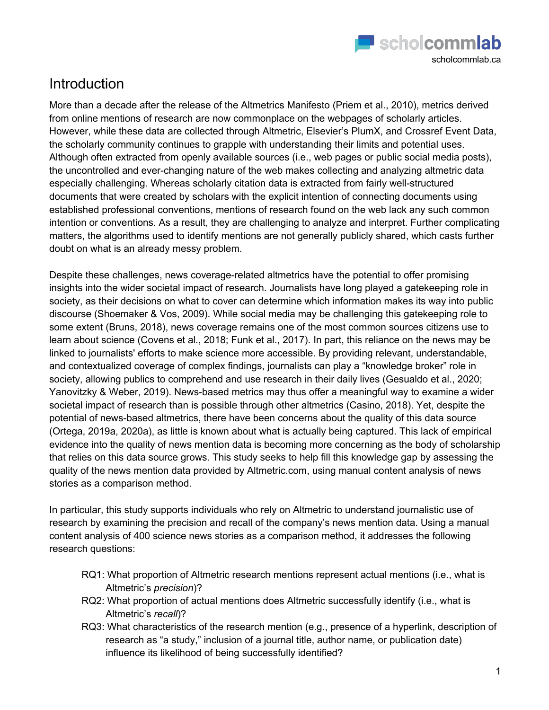

## Introduction

More than a decade after the release of the Altmetrics Manifesto (Priem et al., 2010), metrics derived from online mentions of research are now commonplace on the webpages of scholarly articles. However, while these data are collected through Altmetric, Elsevier's PlumX, and Crossref Event Data, the scholarly community continues to grapple with understanding their limits and potential uses. Although often extracted from openly available sources (i.e., web pages or public social media posts), the uncontrolled and ever-changing nature of the web makes collecting and analyzing altmetric data especially challenging. Whereas scholarly citation data is extracted from fairly well-structured documents that were created by scholars with the explicit intention of connecting documents using established professional conventions, mentions of research found on the web lack any such common intention or conventions. As a result, they are challenging to analyze and interpret. Further complicating matters, the algorithms used to identify mentions are not generally publicly shared, which casts further doubt on what is an already messy problem.

Despite these challenges, news coverage-related altmetrics have the potential to offer promising insights into the wider societal impact of research. Journalists have long played a gatekeeping role in society, as their decisions on what to cover can determine which information makes its way into public discourse (Shoemaker & Vos, 2009). While social media may be challenging this gatekeeping role to some extent (Bruns, 2018), news coverage remains one of the most common sources citizens use to learn about science (Covens et al., 2018; Funk et al., 2017). In part, this reliance on the news may be linked to journalists' efforts to make science more accessible. By providing relevant, understandable, and contextualized coverage of complex findings, journalists can play a "knowledge broker" role in society, allowing publics to comprehend and use research in their daily lives (Gesualdo et al., 2020; Yanovitzky & Weber, 2019). News-based metrics may thus offer a meaningful way to examine a wider societal impact of research than is possible through other altmetrics (Casino, 2018). Yet, despite the potential of news-based altmetrics, there have been concerns about the quality of this data source (Ortega, 2019a, 2020a), as little is known about what is actually being captured. This lack of empirical evidence into the quality of news mention data is becoming more concerning as the body of scholarship that relies on this data source grows. This study seeks to help fill this knowledge gap by assessing the quality of the news mention data provided by Altmetric.com, using manual content analysis of news stories as a comparison method.

In particular, this study supports individuals who rely on Altmetric to understand journalistic use of research by examining the precision and recall of the company's news mention data. Using a manual content analysis of 400 science news stories as a comparison method, it addresses the following research questions:

- RQ1: What proportion of Altmetric research mentions represent actual mentions (i.e., what is Altmetric's *precision*)?
- RQ2: What proportion of actual mentions does Altmetric successfully identify (i.e., what is Altmetric's *recall*)?
- RQ3: What characteristics of the research mention (e.g., presence of a hyperlink, description of research as "a study," inclusion of a journal title, author name, or publication date) influence its likelihood of being successfully identified?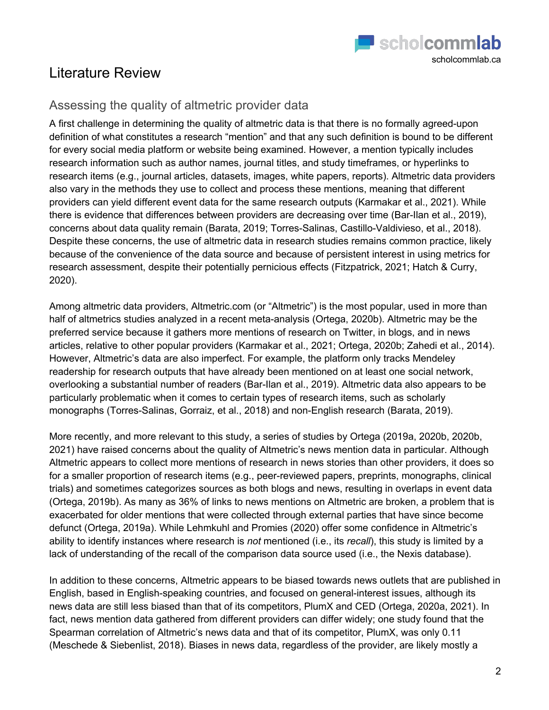

## Literature Review

### Assessing the quality of altmetric provider data

A first challenge in determining the quality of altmetric data is that there is no formally agreed-upon definition of what constitutes a research "mention" and that any such definition is bound to be different for every social media platform or website being examined. However, a mention typically includes research information such as author names, journal titles, and study timeframes, or hyperlinks to research items (e.g., journal articles, datasets, images, white papers, reports). Altmetric data providers also vary in the methods they use to collect and process these mentions, meaning that different providers can yield different event data for the same research outputs (Karmakar et al., 2021). While there is evidence that differences between providers are decreasing over time (Bar-Ilan et al., 2019), concerns about data quality remain (Barata, 2019; Torres-Salinas, Castillo-Valdivieso, et al., 2018). Despite these concerns, the use of altmetric data in research studies remains common practice, likely because of the convenience of the data source and because of persistent interest in using metrics for research assessment, despite their potentially pernicious effects (Fitzpatrick, 2021; Hatch & Curry, 2020).

Among altmetric data providers, Altmetric.com (or "Altmetric") is the most popular, used in more than half of altmetrics studies analyzed in a recent meta-analysis (Ortega, 2020b). Altmetric may be the preferred service because it gathers more mentions of research on Twitter, in blogs, and in news articles, relative to other popular providers (Karmakar et al., 2021; Ortega, 2020b; Zahedi et al., 2014). However, Altmetric's data are also imperfect. For example, the platform only tracks Mendeley readership for research outputs that have already been mentioned on at least one social network, overlooking a substantial number of readers (Bar-Ilan et al., 2019). Altmetric data also appears to be particularly problematic when it comes to certain types of research items, such as scholarly monographs (Torres-Salinas, Gorraiz, et al., 2018) and non-English research (Barata, 2019).

More recently, and more relevant to this study, a series of studies by Ortega (2019a, 2020b, 2020b, 2021) have raised concerns about the quality of Altmetric's news mention data in particular. Although Altmetric appears to collect more mentions of research in news stories than other providers, it does so for a smaller proportion of research items (e.g., peer-reviewed papers, preprints, monographs, clinical trials) and sometimes categorizes sources as both blogs and news, resulting in overlaps in event data (Ortega, 2019b). As many as 36% of links to news mentions on Altmetric are broken, a problem that is exacerbated for older mentions that were collected through external parties that have since become defunct (Ortega, 2019a). While Lehmkuhl and Promies (2020) offer some confidence in Altmetric's ability to identify instances where research is *not* mentioned (i.e., its *recall*), this study is limited by a lack of understanding of the recall of the comparison data source used (i.e., the Nexis database).

In addition to these concerns, Altmetric appears to be biased towards news outlets that are published in English, based in English-speaking countries, and focused on general-interest issues, although its news data are still less biased than that of its competitors, PlumX and CED (Ortega, 2020a, 2021). In fact, news mention data gathered from different providers can differ widely; one study found that the Spearman correlation of Altmetric's news data and that of its competitor, PlumX, was only 0.11 (Meschede & Siebenlist, 2018). Biases in news data, regardless of the provider, are likely mostly a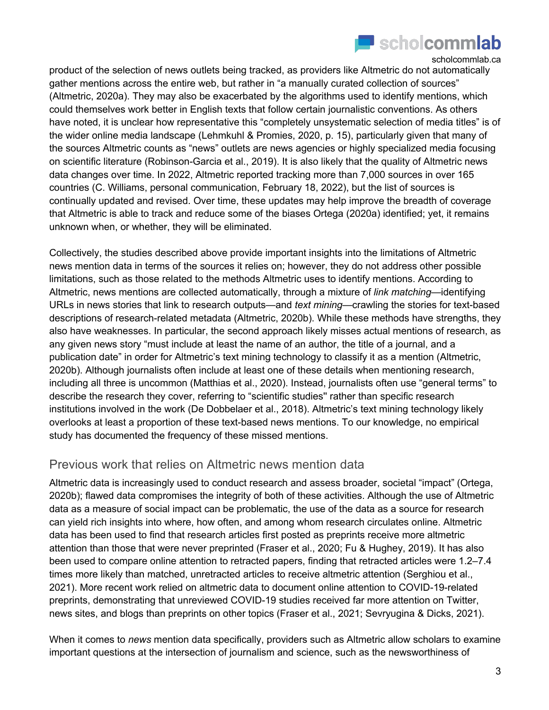

product of the selection of news outlets being tracked, as providers like Altmetric do not automatically gather mentions across the entire web, but rather in "a manually curated collection of sources" (Altmetric, 2020a). They may also be exacerbated by the algorithms used to identify mentions, which could themselves work better in English texts that follow certain journalistic conventions. As others have noted, it is unclear how representative this "completely unsystematic selection of media titles" is of the wider online media landscape (Lehmkuhl & Promies, 2020, p. 15), particularly given that many of the sources Altmetric counts as "news" outlets are news agencies or highly specialized media focusing on scientific literature (Robinson-Garcia et al., 2019). It is also likely that the quality of Altmetric news data changes over time. In 2022, Altmetric reported tracking more than 7,000 sources in over 165 countries (C. Williams, personal communication, February 18, 2022), but the list of sources is continually updated and revised. Over time, these updates may help improve the breadth of coverage that Altmetric is able to track and reduce some of the biases Ortega (2020a) identified; yet, it remains unknown when, or whether, they will be eliminated.

Collectively, the studies described above provide important insights into the limitations of Altmetric news mention data in terms of the sources it relies on; however, they do not address other possible limitations, such as those related to the methods Altmetric uses to identify mentions. According to Altmetric, news mentions are collected automatically, through a mixture of *link matching*—identifying URLs in news stories that link to research outputs—and *text mining*—crawling the stories for text-based descriptions of research-related metadata (Altmetric, 2020b). While these methods have strengths, they also have weaknesses. In particular, the second approach likely misses actual mentions of research, as any given news story "must include at least the name of an author, the title of a journal, and a publication date" in order for Altmetric's text mining technology to classify it as a mention (Altmetric, 2020b). Although journalists often include at least one of these details when mentioning research, including all three is uncommon (Matthias et al., 2020). Instead, journalists often use "general terms" to describe the research they cover, referring to "scientific studies'' rather than specific research institutions involved in the work (De Dobbelaer et al., 2018). Altmetric's text mining technology likely overlooks at least a proportion of these text-based news mentions. To our knowledge, no empirical study has documented the frequency of these missed mentions.

### Previous work that relies on Altmetric news mention data

Altmetric data is increasingly used to conduct research and assess broader, societal "impact" (Ortega, 2020b); flawed data compromises the integrity of both of these activities. Although the use of Altmetric data as a measure of social impact can be problematic, the use of the data as a source for research can yield rich insights into where, how often, and among whom research circulates online. Altmetric data has been used to find that research articles first posted as preprints receive more altmetric attention than those that were never preprinted (Fraser et al., 2020; Fu & Hughey, 2019). It has also been used to compare online attention to retracted papers, finding that retracted articles were 1.2–7.4 times more likely than matched, unretracted articles to receive altmetric attention (Serghiou et al., 2021). More recent work relied on altmetric data to document online attention to COVID-19-related preprints, demonstrating that unreviewed COVID-19 studies received far more attention on Twitter, news sites, and blogs than preprints on other topics (Fraser et al., 2021; Sevryugina & Dicks, 2021).

When it comes to *news* mention data specifically, providers such as Altmetric allow scholars to examine important questions at the intersection of journalism and science, such as the newsworthiness of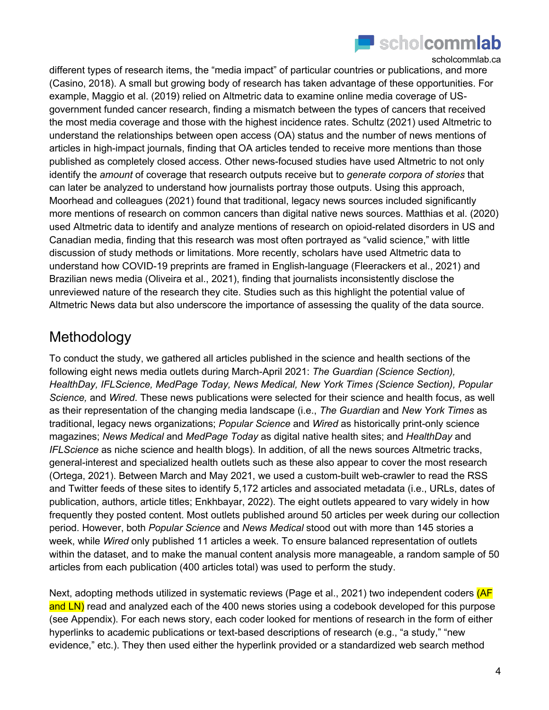

different types of research items, the "media impact" of particular countries or publications, and more (Casino, 2018). A small but growing body of research has taken advantage of these opportunities. For example, Maggio et al. (2019) relied on Altmetric data to examine online media coverage of USgovernment funded cancer research, finding a mismatch between the types of cancers that received the most media coverage and those with the highest incidence rates. Schultz (2021) used Altmetric to understand the relationships between open access (OA) status and the number of news mentions of articles in high-impact journals, finding that OA articles tended to receive more mentions than those published as completely closed access. Other news-focused studies have used Altmetric to not only identify the *amount* of coverage that research outputs receive but to *generate corpora of stories* that can later be analyzed to understand how journalists portray those outputs. Using this approach, Moorhead and colleagues (2021) found that traditional, legacy news sources included significantly more mentions of research on common cancers than digital native news sources. Matthias et al. (2020) used Altmetric data to identify and analyze mentions of research on opioid-related disorders in US and Canadian media, finding that this research was most often portrayed as "valid science," with little discussion of study methods or limitations. More recently, scholars have used Altmetric data to understand how COVID-19 preprints are framed in English-language (Fleerackers et al., 2021) and Brazilian news media (Oliveira et al., 2021), finding that journalists inconsistently disclose the unreviewed nature of the research they cite. Studies such as this highlight the potential value of Altmetric News data but also underscore the importance of assessing the quality of the data source.

### Methodology

To conduct the study, we gathered all articles published in the science and health sections of the following eight news media outlets during March-April 2021: *The Guardian (Science Section), HealthDay, IFLScience, MedPage Today, News Medical, New York Times (Science Section), Popular Science,* and *Wired*. These news publications were selected for their science and health focus, as well as their representation of the changing media landscape (i.e., *The Guardian* and *New York Times* as traditional, legacy news organizations; *Popular Science* and *Wired* as historically print-only science magazines; *News Medical* and *MedPage Today* as digital native health sites; and *HealthDay* and *IFLScience* as niche science and health blogs). In addition, of all the news sources Altmetric tracks, general-interest and specialized health outlets such as these also appear to cover the most research (Ortega, 2021). Between March and May 2021, we used a custom-built web-crawler to read the RSS and Twitter feeds of these sites to identify 5,172 articles and associated metadata (i.e., URLs, dates of publication, authors, article titles; Enkhbayar, 2022). The eight outlets appeared to vary widely in how frequently they posted content. Most outlets published around 50 articles per week during our collection period. However, both *Popular Science* and *News Medical* stood out with more than 145 stories a week, while *Wired* only published 11 articles a week. To ensure balanced representation of outlets within the dataset, and to make the manual content analysis more manageable, a random sample of 50 articles from each publication (400 articles total) was used to perform the study.

Next, adopting methods utilized in systematic reviews (Page et al., 2021) two independent coders (AF and LN) read and analyzed each of the 400 news stories using a codebook developed for this purpose (see Appendix). For each news story, each coder looked for mentions of research in the form of either hyperlinks to academic publications or text-based descriptions of research (e.g., "a study," "new evidence," etc.). They then used either the hyperlink provided or a standardized web search method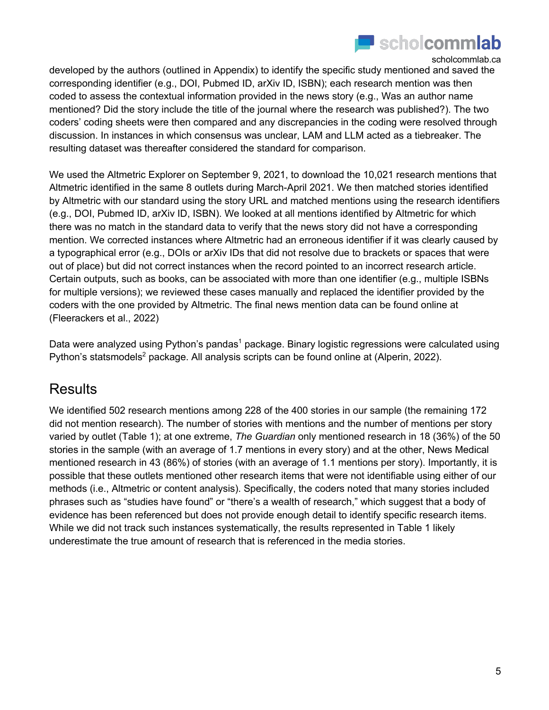

developed by the authors (outlined in Appendix) to identify the specific study mentioned and saved the corresponding identifier (e.g., DOI, Pubmed ID, arXiv ID, ISBN); each research mention was then coded to assess the contextual information provided in the news story (e.g., Was an author name mentioned? Did the story include the title of the journal where the research was published?). The two coders' coding sheets were then compared and any discrepancies in the coding were resolved through discussion. In instances in which consensus was unclear, LAM and LLM acted as a tiebreaker. The resulting dataset was thereafter considered the standard for comparison.

We used the Altmetric Explorer on September 9, 2021, to download the 10,021 research mentions that Altmetric identified in the same 8 outlets during March-April 2021. We then matched stories identified by Altmetric with our standard using the story URL and matched mentions using the research identifiers (e.g., DOI, Pubmed ID, arXiv ID, ISBN). We looked at all mentions identified by Altmetric for which there was no match in the standard data to verify that the news story did not have a corresponding mention. We corrected instances where Altmetric had an erroneous identifier if it was clearly caused by a typographical error (e.g., DOIs or arXiv IDs that did not resolve due to brackets or spaces that were out of place) but did not correct instances when the record pointed to an incorrect research article. Certain outputs, such as books, can be associated with more than one identifier (e.g., multiple ISBNs for multiple versions); we reviewed these cases manually and replaced the identifier provided by the coders with the one provided by Altmetric. The final news mention data can be found online at (Fleerackers et al., 2022)

Data were analyzed using Python's pandas<sup>1</sup> package. Binary logistic regressions were calculated using Python's statsmodels<sup>2</sup> package. All analysis scripts can be found online at (Alperin, 2022).

### **Results**

We identified 502 research mentions among 228 of the 400 stories in our sample (the remaining 172 did not mention research). The number of stories with mentions and the number of mentions per story varied by outlet (Table 1); at one extreme, *The Guardian* only mentioned research in 18 (36%) of the 50 stories in the sample (with an average of 1.7 mentions in every story) and at the other, News Medical mentioned research in 43 (86%) of stories (with an average of 1.1 mentions per story). Importantly, it is possible that these outlets mentioned other research items that were not identifiable using either of our methods (i.e., Altmetric or content analysis). Specifically, the coders noted that many stories included phrases such as "studies have found" or "there's a wealth of research," which suggest that a body of evidence has been referenced but does not provide enough detail to identify specific research items. While we did not track such instances systematically, the results represented in Table 1 likely underestimate the true amount of research that is referenced in the media stories.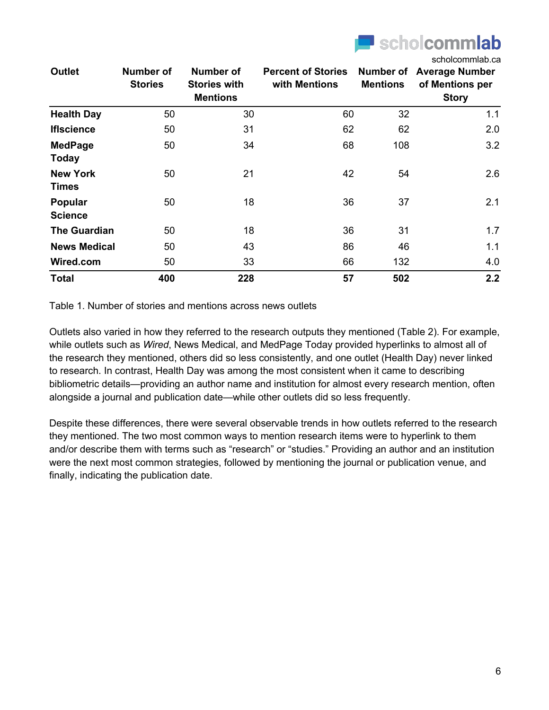

| <b>Outlet</b>                   | <b>Number of</b><br><b>Stories</b> | Number of<br><b>Stories with</b><br><b>Mentions</b> | <b>Percent of Stories</b><br>with Mentions | Number of<br><b>Mentions</b> | scholcommlab.ca<br><b>Average Number</b><br>of Mentions per<br><b>Story</b> |
|---------------------------------|------------------------------------|-----------------------------------------------------|--------------------------------------------|------------------------------|-----------------------------------------------------------------------------|
| <b>Health Day</b>               | 50                                 | 30                                                  | 60                                         | 32                           | 1.1                                                                         |
| <b>Ifiscience</b>               | 50                                 | 31                                                  | 62                                         | 62                           | 2.0                                                                         |
| <b>MedPage</b><br><b>Today</b>  | 50                                 | 34                                                  | 68                                         | 108                          | 3.2                                                                         |
| <b>New York</b><br><b>Times</b> | 50                                 | 21                                                  | 42                                         | 54                           | 2.6                                                                         |
| Popular<br><b>Science</b>       | 50                                 | 18                                                  | 36                                         | 37                           | 2.1                                                                         |
| <b>The Guardian</b>             | 50                                 | 18                                                  | 36                                         | 31                           | 1.7                                                                         |
| <b>News Medical</b>             | 50                                 | 43                                                  | 86                                         | 46                           | 1.1                                                                         |
| Wired.com                       | 50                                 | 33                                                  | 66                                         | 132                          | 4.0                                                                         |
| <b>Total</b>                    | 400                                | 228                                                 | 57                                         | 502                          | 2.2                                                                         |

Table 1. Number of stories and mentions across news outlets

Outlets also varied in how they referred to the research outputs they mentioned (Table 2). For example, while outlets such as *Wired*, News Medical, and MedPage Today provided hyperlinks to almost all of the research they mentioned, others did so less consistently, and one outlet (Health Day) never linked to research. In contrast, Health Day was among the most consistent when it came to describing bibliometric details—providing an author name and institution for almost every research mention, often alongside a journal and publication date—while other outlets did so less frequently.

Despite these differences, there were several observable trends in how outlets referred to the research they mentioned. The two most common ways to mention research items were to hyperlink to them and/or describe them with terms such as "research" or "studies." Providing an author and an institution were the next most common strategies, followed by mentioning the journal or publication venue, and finally, indicating the publication date.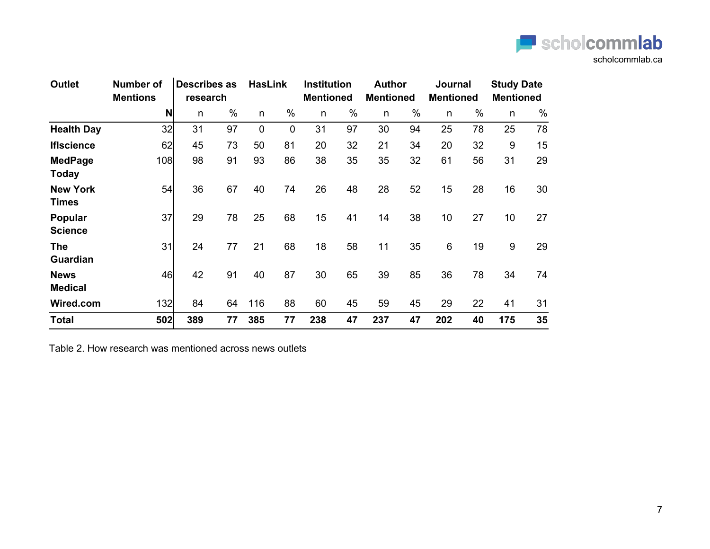

| <b>Outlet</b>                   | <b>Number of</b><br><b>Mentions</b> | <b>Describes as</b><br>research |      | <b>HasLink</b> |                | <b>Institution</b><br><b>Mentioned</b> |      | <b>Author</b><br><b>Mentioned</b> |      | Journal<br><b>Mentioned</b> |      | <b>Study Date</b><br><b>Mentioned</b> |      |
|---------------------------------|-------------------------------------|---------------------------------|------|----------------|----------------|----------------------------------------|------|-----------------------------------|------|-----------------------------|------|---------------------------------------|------|
|                                 | N                                   | n.                              | $\%$ | n              | $\%$           | n                                      | $\%$ | n                                 | $\%$ | n.                          | $\%$ | n                                     | $\%$ |
| <b>Health Day</b>               | 32                                  | 31                              | 97   | $\mathbf 0$    | $\overline{0}$ | 31                                     | 97   | 30                                | 94   | 25                          | 78   | 25                                    | 78   |
| <b>IfIscience</b>               | 62                                  | 45                              | 73   | 50             | 81             | 20                                     | 32   | 21                                | 34   | 20                          | 32   | 9                                     | 15   |
| <b>MedPage</b><br><b>Today</b>  | 108                                 | 98                              | 91   | 93             | 86             | 38                                     | 35   | 35                                | 32   | 61                          | 56   | 31                                    | 29   |
| <b>New York</b><br><b>Times</b> | 54                                  | 36                              | 67   | 40             | 74             | 26                                     | 48   | 28                                | 52   | 15                          | 28   | 16                                    | 30   |
| Popular<br><b>Science</b>       | 37                                  | 29                              | 78   | 25             | 68             | 15                                     | 41   | 14                                | 38   | 10                          | 27   | 10 <sup>1</sup>                       | 27   |
| <b>The</b><br><b>Guardian</b>   | 31                                  | 24                              | 77   | 21             | 68             | 18                                     | 58   | 11                                | 35   | 6                           | 19   | 9                                     | 29   |
| <b>News</b><br><b>Medical</b>   | 46                                  | 42                              | 91   | 40             | 87             | 30                                     | 65   | 39                                | 85   | 36                          | 78   | 34                                    | 74   |
| Wired.com                       | 132                                 | 84                              | 64   | 116            | 88             | 60                                     | 45   | 59                                | 45   | 29                          | 22   | 41                                    | 31   |
| <b>Total</b>                    | 502                                 | 389                             | 77   | 385            | 77             | 238                                    | 47   | 237                               | 47   | 202                         | 40   | 175                                   | 35   |

Table 2. How research was mentioned across news outlets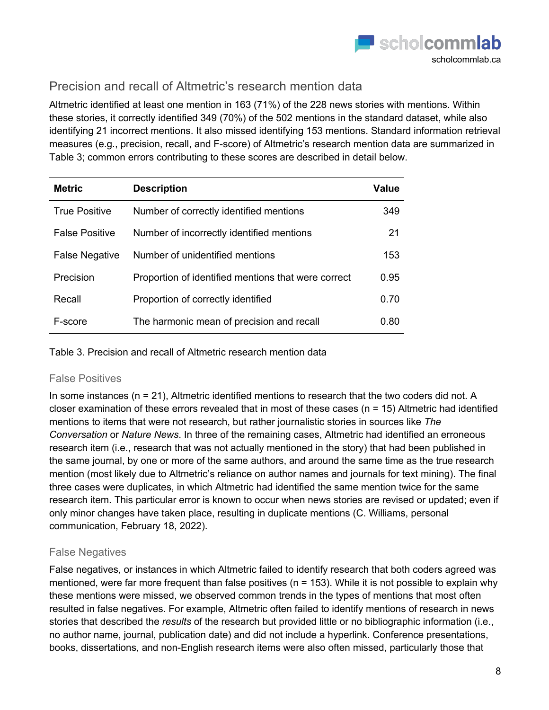

### Precision and recall of Altmetric's research mention data

Altmetric identified at least one mention in 163 (71%) of the 228 news stories with mentions. Within these stories, it correctly identified 349 (70%) of the 502 mentions in the standard dataset, while also identifying 21 incorrect mentions. It also missed identifying 153 mentions. Standard information retrieval measures (e.g., precision, recall, and F-score) of Altmetric's research mention data are summarized in Table 3; common errors contributing to these scores are described in detail below.

| <b>Metric</b>         | <b>Description</b>                                  | Value |
|-----------------------|-----------------------------------------------------|-------|
| <b>True Positive</b>  | Number of correctly identified mentions             | 349   |
| <b>False Positive</b> | Number of incorrectly identified mentions           | 21    |
| <b>False Negative</b> | Number of unidentified mentions                     | 153   |
| Precision             | Proportion of identified mentions that were correct | 0.95  |
| Recall                | Proportion of correctly identified                  | 0.70  |
| F-score               | The harmonic mean of precision and recall           | 0.80  |

Table 3. Precision and recall of Altmetric research mention data

### False Positives

In some instances ( $n = 21$ ), Altmetric identified mentions to research that the two coders did not. A closer examination of these errors revealed that in most of these cases (n = 15) Altmetric had identified mentions to items that were not research, but rather journalistic stories in sources like *The Conversation* or *Nature News*. In three of the remaining cases, Altmetric had identified an erroneous research item (i.e., research that was not actually mentioned in the story) that had been published in the same journal, by one or more of the same authors, and around the same time as the true research mention (most likely due to Altmetric's reliance on author names and journals for text mining). The final three cases were duplicates, in which Altmetric had identified the same mention twice for the same research item. This particular error is known to occur when news stories are revised or updated; even if only minor changes have taken place, resulting in duplicate mentions (C. Williams, personal communication, February 18, 2022).

### False Negatives

False negatives, or instances in which Altmetric failed to identify research that both coders agreed was mentioned, were far more frequent than false positives ( $n = 153$ ). While it is not possible to explain why these mentions were missed, we observed common trends in the types of mentions that most often resulted in false negatives. For example, Altmetric often failed to identify mentions of research in news stories that described the *results* of the research but provided little or no bibliographic information (i.e., no author name, journal, publication date) and did not include a hyperlink. Conference presentations, books, dissertations, and non-English research items were also often missed, particularly those that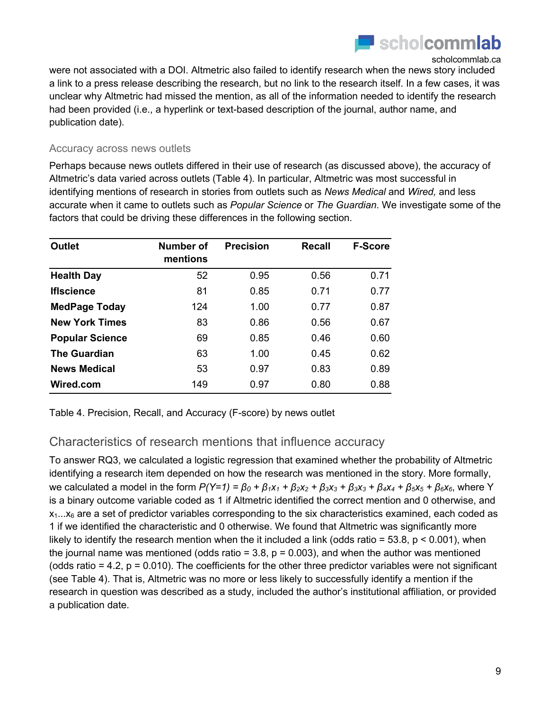

were not associated with a DOI. Altmetric also failed to identify research when the news story included a link to a press release describing the research, but no link to the research itself. In a few cases, it was unclear why Altmetric had missed the mention, as all of the information needed to identify the research had been provided (i.e., a hyperlink or text-based description of the journal, author name, and publication date).

#### Accuracy across news outlets

Perhaps because news outlets differed in their use of research (as discussed above), the accuracy of Altmetric's data varied across outlets (Table 4). In particular, Altmetric was most successful in identifying mentions of research in stories from outlets such as *News Medical* and *Wired,* and less accurate when it came to outlets such as *Popular Science* or *The Guardian*. We investigate some of the factors that could be driving these differences in the following section.

| <b>Outlet</b>          | Number of<br>mentions | <b>Precision</b> | <b>Recall</b> | <b>F-Score</b> |
|------------------------|-----------------------|------------------|---------------|----------------|
| <b>Health Day</b>      | 52                    | 0.95             | 0.56          | 0.71           |
| <b>Ifiscience</b>      | 81                    | 0.85             | 0.71          | 0.77           |
| <b>MedPage Today</b>   | 124                   | 1.00             | 0.77          | 0.87           |
| <b>New York Times</b>  | 83                    | 0.86             | 0.56          | 0.67           |
| <b>Popular Science</b> | 69                    | 0.85             | 0.46          | 0.60           |
| <b>The Guardian</b>    | 63                    | 1.00             | 0.45          | 0.62           |
| <b>News Medical</b>    | 53                    | 0.97             | 0.83          | 0.89           |
| Wired.com              | 149                   | 0.97             | 0.80          | 0.88           |

Table 4. Precision, Recall, and Accuracy (F-score) by news outlet

### Characteristics of research mentions that influence accuracy

To answer RQ3, we calculated a logistic regression that examined whether the probability of Altmetric identifying a research item depended on how the research was mentioned in the story. More formally, we calculated a model in the form  $P(Y=1) = β_0 + β_1x_1 + β_2x_2 + β_3x_3 + β_3x_3 + β_4x_4 + β_5x_5 + β_6x_6$ , where Y is a binary outcome variable coded as 1 if Altmetric identified the correct mention and 0 otherwise, and  $x_1...x_6$  are a set of predictor variables corresponding to the six characteristics examined, each coded as 1 if we identified the characteristic and 0 otherwise. We found that Altmetric was significantly more likely to identify the research mention when the it included a link (odds ratio =  $53.8$ ,  $p < 0.001$ ), when the journal name was mentioned (odds ratio =  $3.8$ ,  $p = 0.003$ ), and when the author was mentioned (odds ratio  $= 4.2$ ,  $p = 0.010$ ). The coefficients for the other three predictor variables were not significant (see Table 4). That is, Altmetric was no more or less likely to successfully identify a mention if the research in question was described as a study, included the author's institutional affiliation, or provided a publication date.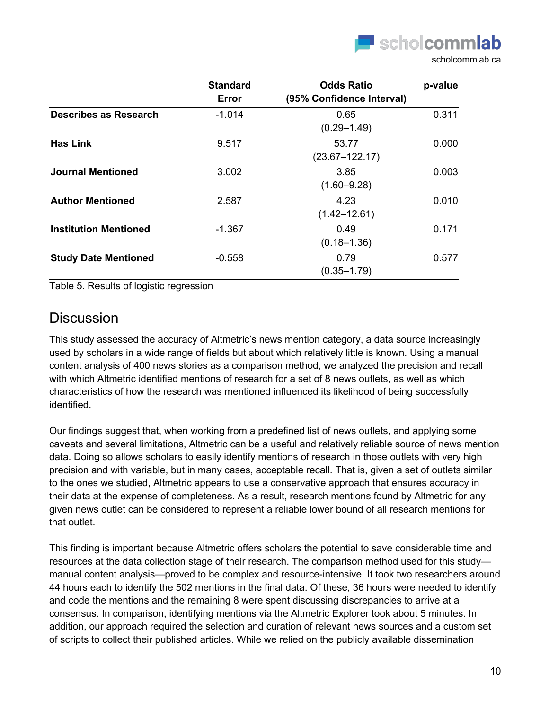

|                              | <b>Standard</b><br>Error | <b>Odds Ratio</b><br>(95% Confidence Interval) | p-value |
|------------------------------|--------------------------|------------------------------------------------|---------|
| <b>Describes as Research</b> | $-1.014$                 | 0.65<br>$(0.29 - 1.49)$                        | 0.311   |
| <b>Has Link</b>              | 9.517                    | 53.77<br>$(23.67 - 122.17)$                    | 0.000   |
| Journal Mentioned            | 3.002                    | 3.85<br>$(1.60 - 9.28)$                        | 0.003   |
| <b>Author Mentioned</b>      | 2.587                    | 4.23<br>$(1.42 - 12.61)$                       | 0.010   |
| <b>Institution Mentioned</b> | $-1.367$                 | 0.49<br>$(0.18 - 1.36)$                        | 0.171   |
| <b>Study Date Mentioned</b>  | $-0.558$                 | 0.79<br>$(0.35 - 1.79)$                        | 0.577   |

Table 5. Results of logistic regression

### **Discussion**

This study assessed the accuracy of Altmetric's news mention category, a data source increasingly used by scholars in a wide range of fields but about which relatively little is known. Using a manual content analysis of 400 news stories as a comparison method, we analyzed the precision and recall with which Altmetric identified mentions of research for a set of 8 news outlets, as well as which characteristics of how the research was mentioned influenced its likelihood of being successfully identified.

Our findings suggest that, when working from a predefined list of news outlets, and applying some caveats and several limitations, Altmetric can be a useful and relatively reliable source of news mention data. Doing so allows scholars to easily identify mentions of research in those outlets with very high precision and with variable, but in many cases, acceptable recall. That is, given a set of outlets similar to the ones we studied, Altmetric appears to use a conservative approach that ensures accuracy in their data at the expense of completeness. As a result, research mentions found by Altmetric for any given news outlet can be considered to represent a reliable lower bound of all research mentions for that outlet.

This finding is important because Altmetric offers scholars the potential to save considerable time and resources at the data collection stage of their research. The comparison method used for this study manual content analysis—proved to be complex and resource-intensive. It took two researchers around 44 hours each to identify the 502 mentions in the final data. Of these, 36 hours were needed to identify and code the mentions and the remaining 8 were spent discussing discrepancies to arrive at a consensus. In comparison, identifying mentions via the Altmetric Explorer took about 5 minutes. In addition, our approach required the selection and curation of relevant news sources and a custom set of scripts to collect their published articles. While we relied on the publicly available dissemination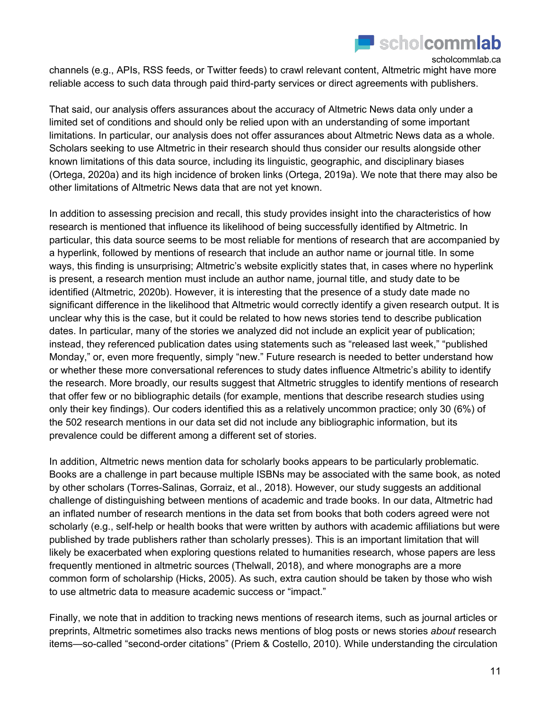

channels (e.g., APIs, RSS feeds, or Twitter feeds) to crawl relevant content, Altmetric might have more reliable access to such data through paid third-party services or direct agreements with publishers.

That said, our analysis offers assurances about the accuracy of Altmetric News data only under a limited set of conditions and should only be relied upon with an understanding of some important limitations. In particular, our analysis does not offer assurances about Altmetric News data as a whole. Scholars seeking to use Altmetric in their research should thus consider our results alongside other known limitations of this data source, including its linguistic, geographic, and disciplinary biases (Ortega, 2020a) and its high incidence of broken links (Ortega, 2019a). We note that there may also be other limitations of Altmetric News data that are not yet known.

In addition to assessing precision and recall, this study provides insight into the characteristics of how research is mentioned that influence its likelihood of being successfully identified by Altmetric. In particular, this data source seems to be most reliable for mentions of research that are accompanied by a hyperlink, followed by mentions of research that include an author name or journal title. In some ways, this finding is unsurprising; Altmetric's website explicitly states that, in cases where no hyperlink is present, a research mention must include an author name, journal title, and study date to be identified (Altmetric, 2020b). However, it is interesting that the presence of a study date made no significant difference in the likelihood that Altmetric would correctly identify a given research output. It is unclear why this is the case, but it could be related to how news stories tend to describe publication dates. In particular, many of the stories we analyzed did not include an explicit year of publication; instead, they referenced publication dates using statements such as "released last week," "published Monday," or, even more frequently, simply "new." Future research is needed to better understand how or whether these more conversational references to study dates influence Altmetric's ability to identify the research. More broadly, our results suggest that Altmetric struggles to identify mentions of research that offer few or no bibliographic details (for example, mentions that describe research studies using only their key findings). Our coders identified this as a relatively uncommon practice; only 30 (6%) of the 502 research mentions in our data set did not include any bibliographic information, but its prevalence could be different among a different set of stories.

In addition, Altmetric news mention data for scholarly books appears to be particularly problematic. Books are a challenge in part because multiple ISBNs may be associated with the same book, as noted by other scholars (Torres-Salinas, Gorraiz, et al., 2018). However, our study suggests an additional challenge of distinguishing between mentions of academic and trade books. In our data, Altmetric had an inflated number of research mentions in the data set from books that both coders agreed were not scholarly (e.g., self-help or health books that were written by authors with academic affiliations but were published by trade publishers rather than scholarly presses). This is an important limitation that will likely be exacerbated when exploring questions related to humanities research, whose papers are less frequently mentioned in altmetric sources (Thelwall, 2018), and where monographs are a more common form of scholarship (Hicks, 2005). As such, extra caution should be taken by those who wish to use altmetric data to measure academic success or "impact."

Finally, we note that in addition to tracking news mentions of research items, such as journal articles or preprints, Altmetric sometimes also tracks news mentions of blog posts or news stories *about* research items—so-called "second-order citations" (Priem & Costello, 2010). While understanding the circulation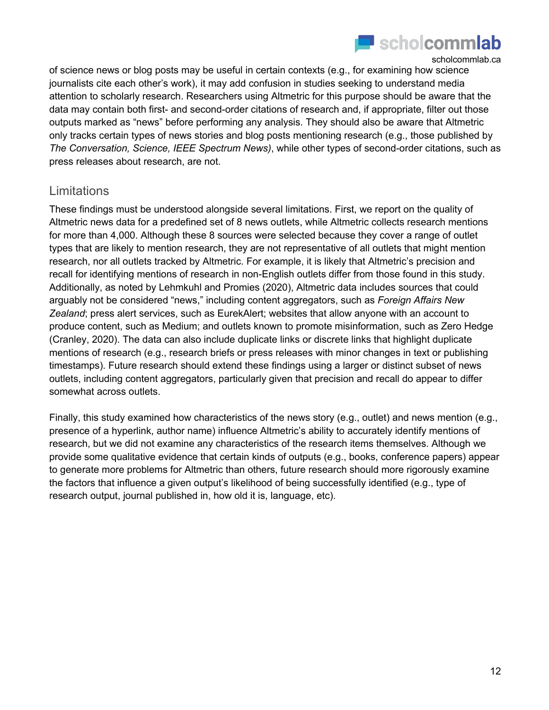

of science news or blog posts may be useful in certain contexts (e.g., for examining how science journalists cite each other's work), it may add confusion in studies seeking to understand media attention to scholarly research. Researchers using Altmetric for this purpose should be aware that the data may contain both first- and second-order citations of research and, if appropriate, filter out those outputs marked as "news" before performing any analysis. They should also be aware that Altmetric only tracks certain types of news stories and blog posts mentioning research (e.g., those published by *The Conversation, Science, IEEE Spectrum News)*, while other types of second-order citations, such as press releases about research, are not.

### **Limitations**

These findings must be understood alongside several limitations. First, we report on the quality of Altmetric news data for a predefined set of 8 news outlets, while Altmetric collects research mentions for more than 4,000. Although these 8 sources were selected because they cover a range of outlet types that are likely to mention research, they are not representative of all outlets that might mention research, nor all outlets tracked by Altmetric. For example, it is likely that Altmetric's precision and recall for identifying mentions of research in non-English outlets differ from those found in this study. Additionally, as noted by Lehmkuhl and Promies (2020), Altmetric data includes sources that could arguably not be considered "news," including content aggregators, such as *Foreign Affairs New Zealand*; press alert services, such as EurekAlert; websites that allow anyone with an account to produce content, such as Medium; and outlets known to promote misinformation, such as Zero Hedge (Cranley, 2020). The data can also include duplicate links or discrete links that highlight duplicate mentions of research (e.g., research briefs or press releases with minor changes in text or publishing timestamps). Future research should extend these findings using a larger or distinct subset of news outlets, including content aggregators, particularly given that precision and recall do appear to differ somewhat across outlets.

Finally, this study examined how characteristics of the news story (e.g., outlet) and news mention (e.g., presence of a hyperlink, author name) influence Altmetric's ability to accurately identify mentions of research, but we did not examine any characteristics of the research items themselves. Although we provide some qualitative evidence that certain kinds of outputs (e.g., books, conference papers) appear to generate more problems for Altmetric than others, future research should more rigorously examine the factors that influence a given output's likelihood of being successfully identified (e.g., type of research output, journal published in, how old it is, language, etc).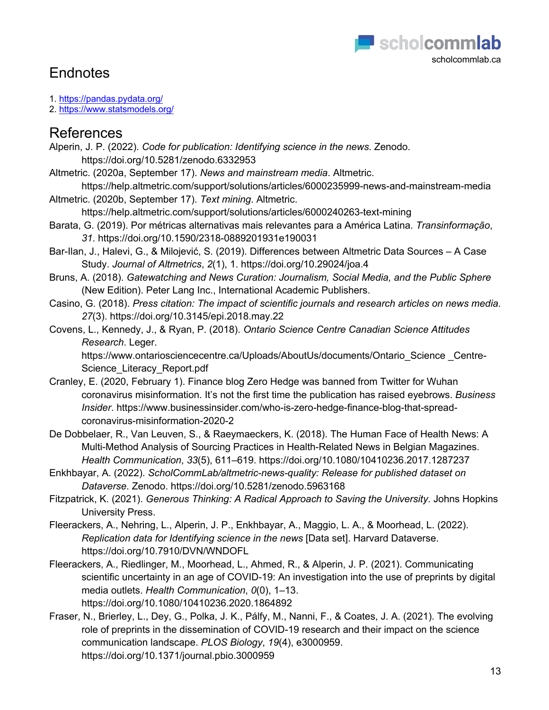

# **Endnotes**

- 1. https://pandas.pydata.org/
- 2. https://www.statsmodels.org/

## References

- Alperin, J. P. (2022). *Code for publication: Identifying science in the news*. Zenodo. https://doi.org/10.5281/zenodo.6332953
- Altmetric. (2020a, September 17). *News and mainstream media*. Altmetric.
- https://help.altmetric.com/support/solutions/articles/6000235999-news-and-mainstream-media Altmetric. (2020b, September 17). *Text mining*. Altmetric.
	- https://help.altmetric.com/support/solutions/articles/6000240263-text-mining
- Barata, G. (2019). Por métricas alternativas mais relevantes para a América Latina. *Transinformação*, *31*. https://doi.org/10.1590/2318-0889201931e190031
- Bar-Ilan, J., Halevi, G., & Milojević, S. (2019). Differences between Altmetric Data Sources A Case Study. *Journal of Altmetrics*, *2*(1), 1. https://doi.org/10.29024/joa.4
- Bruns, A. (2018). *Gatewatching and News Curation: Journalism, Social Media, and the Public Sphere* (New Edition). Peter Lang Inc., International Academic Publishers.
- Casino, G. (2018). *Press citation: The impact of scientific journals and research articles on news media*. *27*(3). https://doi.org/10.3145/epi.2018.may.22
- Covens, L., Kennedy, J., & Ryan, P. (2018). *Ontario Science Centre Canadian Science Attitudes Research*. Leger.

https://www.ontariosciencecentre.ca/Uploads/AboutUs/documents/Ontario\_Science \_Centre-Science Literacy Report.pdf

- Cranley, E. (2020, February 1). Finance blog Zero Hedge was banned from Twitter for Wuhan coronavirus misinformation. It's not the first time the publication has raised eyebrows. *Business Insider*. https://www.businessinsider.com/who-is-zero-hedge-finance-blog-that-spreadcoronavirus-misinformation-2020-2
- De Dobbelaer, R., Van Leuven, S., & Raeymaeckers, K. (2018). The Human Face of Health News: A Multi-Method Analysis of Sourcing Practices in Health-Related News in Belgian Magazines. *Health Communication*, *33*(5), 611–619. https://doi.org/10.1080/10410236.2017.1287237
- Enkhbayar, A. (2022). *ScholCommLab/altmetric-news-quality: Release for published dataset on Dataverse*. Zenodo. https://doi.org/10.5281/zenodo.5963168
- Fitzpatrick, K. (2021). *Generous Thinking: A Radical Approach to Saving the University*. Johns Hopkins University Press.
- Fleerackers, A., Nehring, L., Alperin, J. P., Enkhbayar, A., Maggio, L. A., & Moorhead, L. (2022). *Replication data for Identifying science in the news* [Data set]. Harvard Dataverse. https://doi.org/10.7910/DVN/WNDOFL
- Fleerackers, A., Riedlinger, M., Moorhead, L., Ahmed, R., & Alperin, J. P. (2021). Communicating scientific uncertainty in an age of COVID-19: An investigation into the use of preprints by digital media outlets. *Health Communication*, *0*(0), 1–13. https://doi.org/10.1080/10410236.2020.1864892
- Fraser, N., Brierley, L., Dey, G., Polka, J. K., Pálfy, M., Nanni, F., & Coates, J. A. (2021). The evolving role of preprints in the dissemination of COVID-19 research and their impact on the science communication landscape. *PLOS Biology*, *19*(4), e3000959. https://doi.org/10.1371/journal.pbio.3000959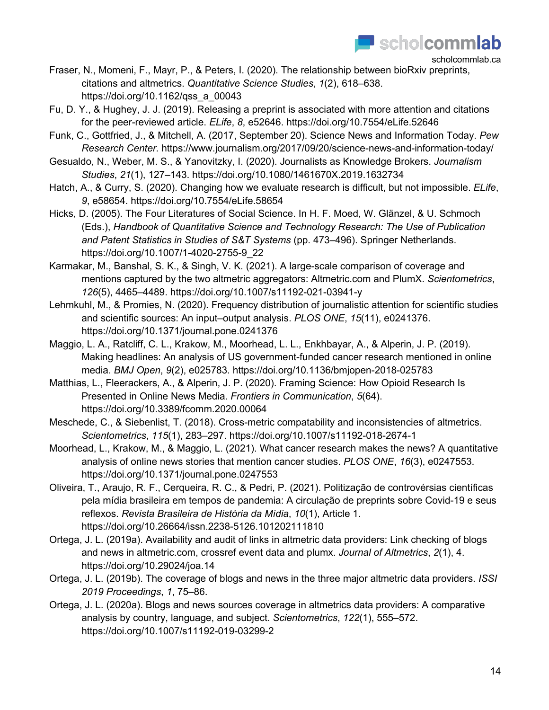

- Fraser, N., Momeni, F., Mayr, P., & Peters, I. (2020). The relationship between bioRxiv preprints, citations and altmetrics. *Quantitative Science Studies*, *1*(2), 618–638. https://doi.org/10.1162/qss\_a\_00043
- Fu, D. Y., & Hughey, J. J. (2019). Releasing a preprint is associated with more attention and citations for the peer-reviewed article. *ELife*, *8*, e52646. https://doi.org/10.7554/eLife.52646
- Funk, C., Gottfried, J., & Mitchell, A. (2017, September 20). Science News and Information Today. *Pew Research Center*. https://www.journalism.org/2017/09/20/science-news-and-information-today/
- Gesualdo, N., Weber, M. S., & Yanovitzky, I. (2020). Journalists as Knowledge Brokers. *Journalism Studies*, *21*(1), 127–143. https://doi.org/10.1080/1461670X.2019.1632734
- Hatch, A., & Curry, S. (2020). Changing how we evaluate research is difficult, but not impossible. *ELife*, *9*, e58654. https://doi.org/10.7554/eLife.58654
- Hicks, D. (2005). The Four Literatures of Social Science. In H. F. Moed, W. Glänzel, & U. Schmoch (Eds.), *Handbook of Quantitative Science and Technology Research: The Use of Publication and Patent Statistics in Studies of S&T Systems* (pp. 473–496). Springer Netherlands. https://doi.org/10.1007/1-4020-2755-9\_22
- Karmakar, M., Banshal, S. K., & Singh, V. K. (2021). A large-scale comparison of coverage and mentions captured by the two altmetric aggregators: Altmetric.com and PlumX. *Scientometrics*, *126*(5), 4465–4489. https://doi.org/10.1007/s11192-021-03941-y
- Lehmkuhl, M., & Promies, N. (2020). Frequency distribution of journalistic attention for scientific studies and scientific sources: An input–output analysis. *PLOS ONE*, *15*(11), e0241376. https://doi.org/10.1371/journal.pone.0241376
- Maggio, L. A., Ratcliff, C. L., Krakow, M., Moorhead, L. L., Enkhbayar, A., & Alperin, J. P. (2019). Making headlines: An analysis of US government-funded cancer research mentioned in online media. *BMJ Open*, *9*(2), e025783. https://doi.org/10.1136/bmjopen-2018-025783
- Matthias, L., Fleerackers, A., & Alperin, J. P. (2020). Framing Science: How Opioid Research Is Presented in Online News Media. *Frontiers in Communication*, *5*(64). https://doi.org/10.3389/fcomm.2020.00064
- Meschede, C., & Siebenlist, T. (2018). Cross-metric compatability and inconsistencies of altmetrics. *Scientometrics*, *115*(1), 283–297. https://doi.org/10.1007/s11192-018-2674-1
- Moorhead, L., Krakow, M., & Maggio, L. (2021). What cancer research makes the news? A quantitative analysis of online news stories that mention cancer studies. *PLOS ONE*, *16*(3), e0247553. https://doi.org/10.1371/journal.pone.0247553
- Oliveira, T., Araujo, R. F., Cerqueira, R. C., & Pedri, P. (2021). Politização de controvérsias científicas pela mídia brasileira em tempos de pandemia: A circulação de preprints sobre Covid-19 e seus reflexos. *Revista Brasileira de História da Mídia*, *10*(1), Article 1. https://doi.org/10.26664/issn.2238-5126.101202111810
- Ortega, J. L. (2019a). Availability and audit of links in altmetric data providers: Link checking of blogs and news in altmetric.com, crossref event data and plumx. *Journal of Altmetrics*, *2*(1), 4. https://doi.org/10.29024/joa.14
- Ortega, J. L. (2019b). The coverage of blogs and news in the three major altmetric data providers. *ISSI 2019 Proceedings*, *1*, 75–86.
- Ortega, J. L. (2020a). Blogs and news sources coverage in altmetrics data providers: A comparative analysis by country, language, and subject. *Scientometrics*, *122*(1), 555–572. https://doi.org/10.1007/s11192-019-03299-2